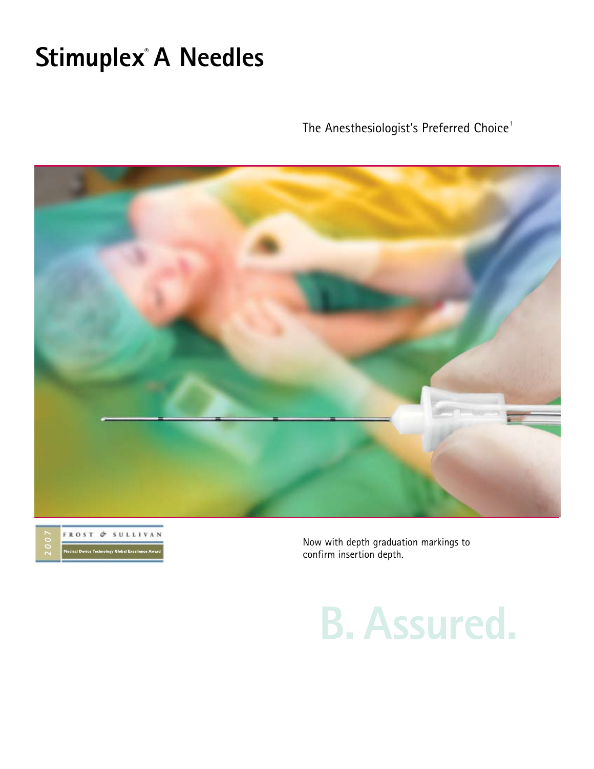# **Stimuplex® A Needles**

The Anesthesiologist's Preferred Choice $^{\rm \scriptscriptstyle 1}$ 





Now with depth graduation markings to confirm insertion depth.

**B. Assured.**